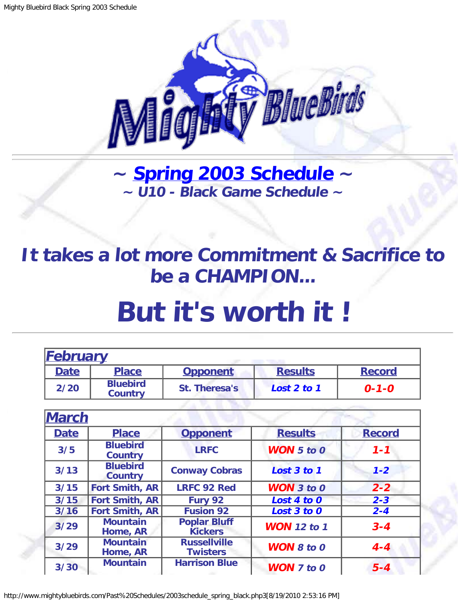

**~ [Spring 2003 Schedule](#page-0-0) ~ ~ U10 - Black Game Schedule ~**

## <span id="page-0-1"></span>**It takes a lot more Commitment & Sacrifice to be a CHAMPION...**

## **But it's worth it !**

<span id="page-0-0"></span>

| <b>February</b> |                                   |                                        |                       |               |
|-----------------|-----------------------------------|----------------------------------------|-----------------------|---------------|
| <b>Date</b>     | <b>Place</b>                      | <b>Opponent</b>                        | <b>Results</b>        | <b>Record</b> |
| 2/20            | <b>Bluebird</b><br><b>Country</b> | St. Theresa's                          | Lost 2 to 1           | $0 - 1 - 0$   |
|                 |                                   |                                        |                       |               |
| <b>March</b>    |                                   |                                        |                       |               |
| <b>Date</b>     | <b>Place</b>                      | <b>Opponent</b>                        | <b>Results</b>        | <b>Record</b> |
| 3/5             | <b>Bluebird</b><br><b>Country</b> | <b>LRFC</b>                            | <b>WON</b> $5$ to $0$ | $1 - 1$       |
| 3/13            | <b>Bluebird</b><br><b>Country</b> | <b>Conway Cobras</b>                   | Lost 3 to 1           | $1 - 2$       |
| 3/15            | <b>Fort Smith, AR</b>             | <b>LRFC 92 Red</b>                     | $WON$ 3 to 0          | $2 - 2$       |
| 3/15            | <b>Fort Smith, AR</b>             | Fury 92                                | Lost 4 to 0           | $2 - 3$       |
| $3/16$          | <b>Fort Smith, AR</b>             | <b>Fusion 92</b>                       | Lost 3 to 0           | $2 - 4$       |
| 3/29            | <b>Mountain</b><br>Home, AR       | <b>Poplar Bluff</b><br><b>Kickers</b>  | <b>WON</b> 12 to 1    | $3 - 4$       |
| 3/29            | <b>Mountain</b><br>Home, AR       | <b>Russellville</b><br><b>Twisters</b> | <b>WON 8 to 0</b>     | $4 - 4$       |
| 3/30            | <b>Mountain</b>                   | <b>Harrison Blue</b>                   | <b>WON</b> 7 to 0     | $5 - 4$       |

http://www.mightybluebirds.com/Past%20Schedules/2003schedule\_spring\_black.php3[8/19/2010 2:53:16 PM]